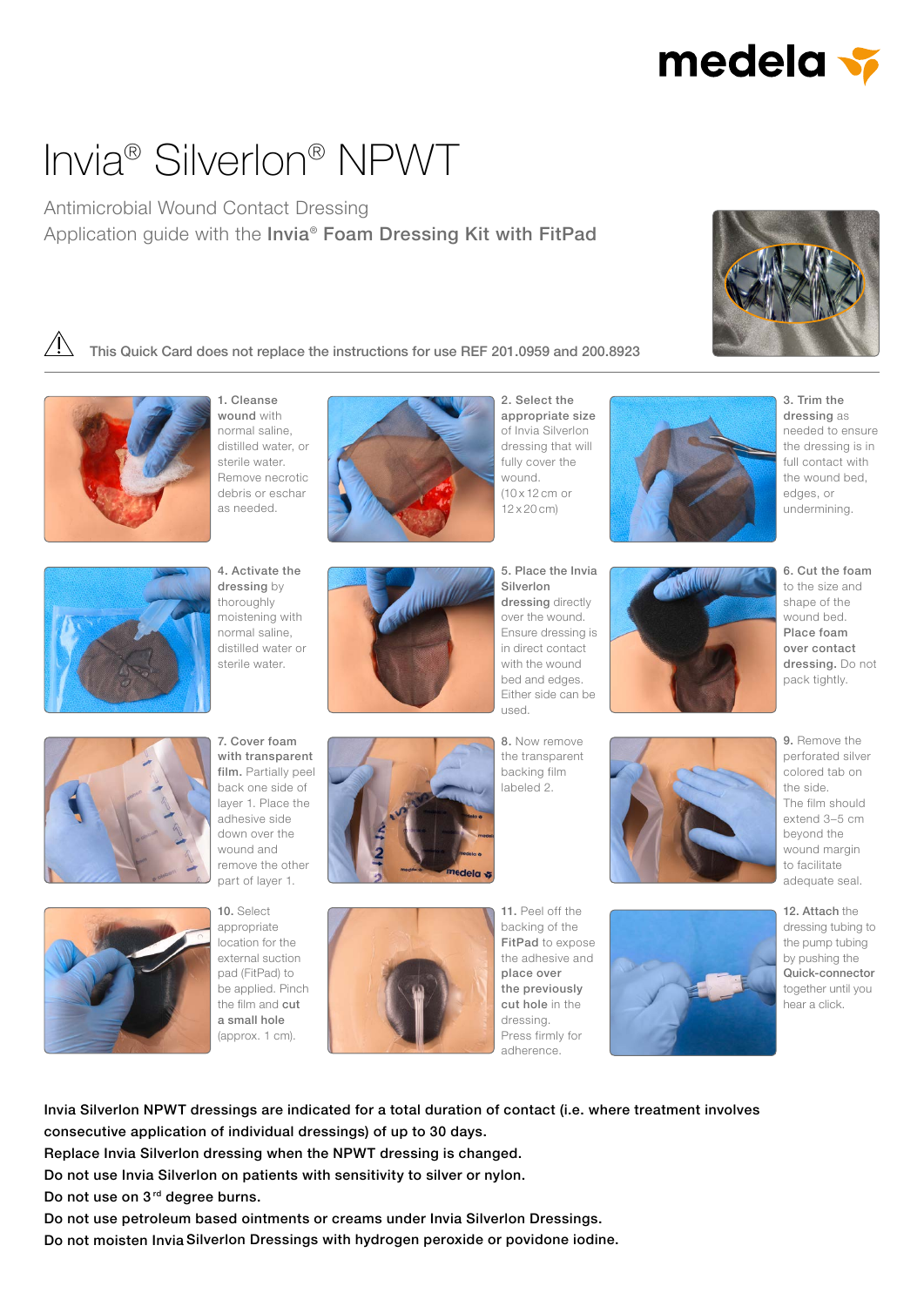

# Invia® Silverlon® NPWT

### Antimicrobial Wound Contact Dressing Application quide with the Invia® Foam Dressing Kit with FitPad







1. Cleanse wound with normal saline, distilled water, or sterile water. Remove necrotic debris or eschar as needed.



2. Select the appropriate size of Invia Silverlon dressing that will fully cover the wound. (10 x 12 cm or 12 x 20 cm)



3. Trim the dressing as needed to ensure the dressing is in full contact with the wound bed, edges, or undermining.



4. Activate the dressing by thoroughly moistening with normal saline, distilled water or sterile water.



5. Place the Invia Silverlon dressing directly over the wound. Ensure dressing is in direct contact with the wound bed and edges. Either side can be used.



6. Cut the foam to the size and shape of the wound bed. Place foam over contact dressing. Do not

pack tightly.



7. Cover foam with transparent film. Partially peel back one side of layer 1. Place the adhesive side down over the wound and remove the other part of layer 1.



10. Select appropriate location for the external suction pad (FitPad) to be applied. Pinch the film and cut

a small hole (approx. 1 cm).





backing of the FitPad to expose the adhesive and place over the previously cut hole in the dressing. Press firmly for adherence.

11. Peel off the



12. Attach the dressing tubing to the pump tubing by pushing the Quick-connector together until you hear a click.

Invia Silverlon NPWT dressings are indicated for a total duration of contact (i.e. where treatment involves consecutive application of individual dressings) of up to 30 days.

Replace Invia Silverlon dressing when the NPWT dressing is changed.

Do not use Invia Silverlon on patients with sensitivity to silver or nylon.

Do not use on 3<sup>rd</sup> degree burns.

Do not use petroleum based ointments or creams under Invia Silverlon Dressings.

Do not moisten Invia Silverlon Dressings with hydrogen peroxide or povidone iodine.